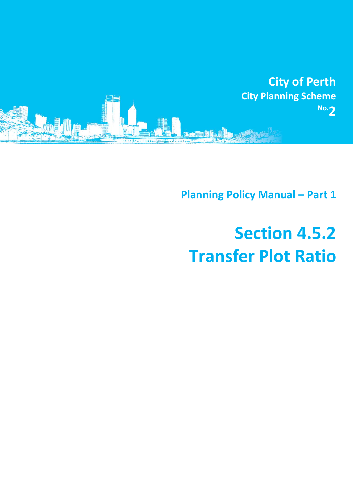

**Planning Policy Manual - Part 1** 

# **Section 4.5.2 Transfer Plot Ratio**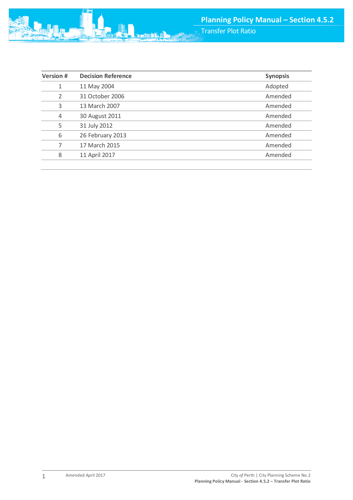Transfer Plot Ratio

| <b>Version #</b> | <b>Decision Reference</b> | <b>Synopsis</b> |
|------------------|---------------------------|-----------------|
| 1                | 11 May 2004               | Adopted         |
| 2                | 31 October 2006           | Amended         |
| 3                | 13 March 2007             | Amended         |
| $\overline{4}$   | 30 August 2011            | Amended         |
| 5                | 31 July 2012              | Amended         |
| 6                | 26 February 2013          | Amended         |
|                  | 17 March 2015             | Amended         |
| 8                | 11 April 2017             | Amended         |

动胸鼠

1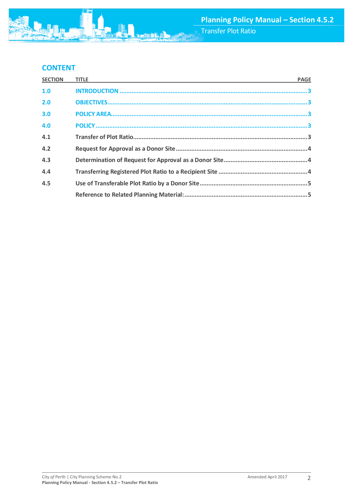# **CONTENT**

| <b>SECTION</b> | TITLE <b>THE REPORT OF A REPORT OF A REPORT OF A REPORT OF A REPORT OF A REPORT OF A REPORT OF A REPORT OF A REPORT OF A REPORT OF A REPORT OF A REPORT OF A REPORT OF A REPORT OF A REPORT OF A REPORT OF A REPORT OF A REPORT </b> | <b>PAGE</b> |
|----------------|--------------------------------------------------------------------------------------------------------------------------------------------------------------------------------------------------------------------------------------|-------------|
| 1.0            |                                                                                                                                                                                                                                      |             |
| 2.0            |                                                                                                                                                                                                                                      |             |
| 3.0            |                                                                                                                                                                                                                                      |             |
| 4.0            |                                                                                                                                                                                                                                      |             |
| 4.1            |                                                                                                                                                                                                                                      |             |
| 4.2            |                                                                                                                                                                                                                                      |             |
| 4.3            |                                                                                                                                                                                                                                      |             |
| 4.4            |                                                                                                                                                                                                                                      |             |
| 4.5            |                                                                                                                                                                                                                                      |             |
|                |                                                                                                                                                                                                                                      |             |

动胸鼠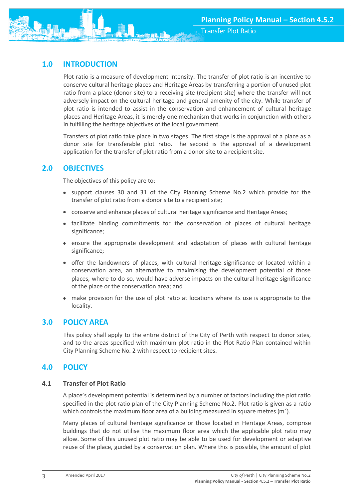<span id="page-3-0"></span>

Plot ratio is a measure of development intensity. The transfer of plot ratio is an incentive to conserve cultural heritage places and Heritage Areas by transferring a portion of unused plot ratio from a place (donor site) to a receiving site (recipient site) where the transfer will not adversely impact on the cultural heritage and general amenity of the city. While transfer of plot ratio is intended to assist in the conservation and enhancement of cultural heritage places and Heritage Areas, it is merely one mechanism that works in conjunction with others in fulfilling the heritage objectives of the local government.

Transfers of plot ratio take place in two stages. The first stage is the approval of a place as a donor site for transferable plot ratio. The second is the approval of a development application for the transfer of plot ratio from a donor site to a recipient site.

# <span id="page-3-1"></span>**2.0 OBJECTIVES**

The objectives of this policy are to:

- support clauses 30 and 31 of the City Planning Scheme No.2 which provide for the transfer of plot ratio from a donor site to a recipient site;
- conserve and enhance places of cultural heritage significance and Heritage Areas;
- facilitate binding commitments for the conservation of places of cultural heritage significance;
- ensure the appropriate development and adaptation of places with cultural heritage significance;
- offer the landowners of places, with cultural heritage significance or located within a conservation area, an alternative to maximising the development potential of those places, where to do so, would have adverse impacts on the cultural heritage significance of the place or the conservation area; and
- make provision for the use of plot ratio at locations where its use is appropriate to the locality.

## <span id="page-3-2"></span>**3.0 POLICY AREA**

This policy shall apply to the entire district of the City of Perth with respect to donor sites, and to the areas specified with maximum plot ratio in the Plot Ratio Plan contained within City Planning Scheme No. 2 with respect to recipient sites.

## <span id="page-3-3"></span>**4.0 POLICY**

## **4.1 Transfer of Plot Ratio**

A place's development potential is determined by a number of factors including the plot ratio specified in the plot ratio plan of the City Planning Scheme No.2. Plot ratio is given as a ratio which controls the maximum floor area of a building measured in square metres (m<sup>2</sup>).

Many places of cultural heritage significance or those located in Heritage Areas, comprise buildings that do not utilise the maximum floor area which the applicable plot ratio may allow. Some of this unused plot ratio may be able to be used for development or adaptive reuse of the place, guided by a conservation plan. Where this is possible, the amount of plot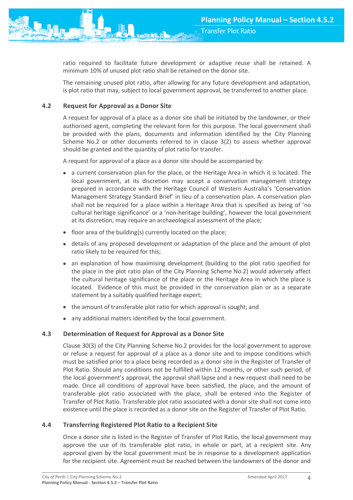ratio required to facilitate future development or adaptive reuse shall be retained. A minimum 10% of unused plot ratio shall be retained on the donor site.

The remaining unused plot ratio, after allowing for any future development and adaptation, is plot ratio that may, subject to local government approval, be transferred to another place.

## **4.2 Request for Approval as a Donor Site**

A request for approval of a place as a donor site shall be initiated by the landowner, or their authorised agent, completing the relevant form for this purpose. The local government shall be provided with the plans, documents and information identified by the City Planning Scheme No.2 or other documents referred to in clause 3(2) to assess whether approval should be granted and the quantity of plot ratio for transfer.

A request for approval of a place as a donor site should be accompanied by:

- a current conservation plan for the place, or the Heritage Area in which it is located. The local government, at its discretion may accept a conservation management strategy prepared in accordance with the Heritage Council of Western Australia's 'Conservation Management Strategy Standard Brief' in lieu of a conservation plan. A conservation plan shall not be required for a place within a Heritage Area that is specified as being of 'no cultural heritage significance' or a 'non-heritage building', however the local government at its discretion, may require an archaeological assessment of the place;
- floor area of the building(s) currently located on the place;
- details of any proposed development or adaptation of the place and the amount of plot ratio likely to be required for this;
- an explanation of how maximising development (building to the plot ratio specified for the place in the plot ratio plan of the City Planning Scheme No.2) would adversely affect the cultural heritage significance of the place or the Heritage Area in which the place is located. Evidence of this must be provided in the conservation plan or as a separate statement by a suitably qualified heritage expert;
- the amount of transferable plot ratio for which approval is sought; and
- any additional matters identified by the local government.

## **4.3 Determination of Request for Approval as a Donor Site**

Clause 30(3) of the City Planning Scheme No.2 provides for the local government to approve or refuse a request for approval of a place as a donor site and to impose conditions which must be satisfied prior to a place being recorded as a donor site in the Register of Transfer of Plot Ratio. Should any conditions not be fulfilled within 12 months, or other such period, of the local government's approval, the approval shall lapse and a new request shall need to be made. Once all conditions of approval have been satisfied, the place, and the amount of transferable plot ratio associated with the place, shall be entered into the Register of Transfer of Plot Ratio. Transferable plot ratio associated with a donor site shall not come into existence until the place is recorded as a donor site on the Register of Transfer of Plot Ratio.

## **4.4 Transferring Registered Plot Ratio to a Recipient Site**

Once a donor site is listed in the Register of Transfer of Plot Ratio, the local government may approve the use of its transferable plot ratio, in whole or part, at a recipient site. Any approval given by the local government must be in response to a development application for the recipient site. Agreement must be reached between the landowners of the donor and